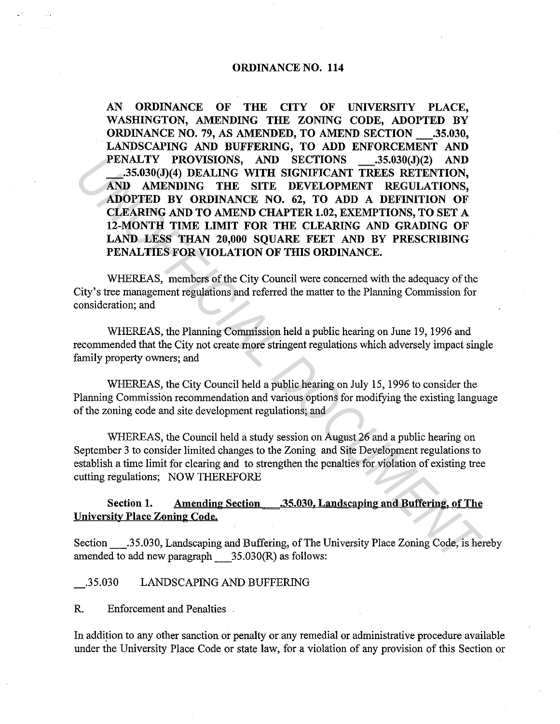### **ORDINANCE NO. 114**

**AN ORDINANCE OF THE CITY OF UNIVERSITY PLACE, WASHINGTON, AMENDING THE ZONING CODE, ADOPTED BY ORDINANCE NO.** 79, AS **AMENDED, TO AMEND SECTION \_.35.030, LANDSCAPING AND BUFFERING, TO ADD ENFORCEMENT AND PENALTY PROVISIONS, AND SECTIONS \_.35.030(J)(2) AND \_.35.030(J)(4) DEALING WITH SIGNIFICANT TREES RETENTION, AND AMENDING THE SITE DEVELOPMENT REGULATIONS, ADOPTED BY ORDINANCE NO. 62, TO ADD A DEFINITION OF CLEARING AND TO AMEND CHAPTER 1.02, EXEMPTIONS, TO SET A 12-MONTH TIME LIMIT FOR THE CLEARING AND GRADING OF LAND LESS THAN 20,000 SQUARE FEET AND BY PRESCRIBING PENALTIES FOR VIOLATION OF THIS ORDINANCE.**  FRAITY PROVISIONS, AND SECTIONS ....35.030()(4) DEALING WITH SIGNIFICANT TREES RETENTION,<br> **AND AMENDING THE SITE DEVELOPMENT RECULATIONS**,<br> **INOPTED BY ORDINANCE NO.** 62, TO ADD A DEFINITION OF THE CHANGEMENT CONDITIONS,<br>

WHEREAS, members of the City Council were concerned with the adequacy of the City's tree management regulations and referred the matter to the Planning Commission for consideration; and

WHEREAS, the Planning Commission held a public hearing on June 19, 1996 and recommended that the City not create more stringent regulations which adversely impact single family property owners; and

WHEREAS, the City Council held a public hearing on July 15, 1996 to consider the Planning Commission recommendation and various options for modifying the existing language of the zoning code and site development regulations; and

WHEREAS, the Council held a study session on August 26 and a public hearing on September 3 to consider limited changes to the Zoning and Site Development regulations to establish a time limit for clearing and to strengthen the penalties for violation of existing tree cutting regulations; NOW THEREFORE

# **Section 1. Amending Section .35.030. Landscaping and Buffering. of The University Place Zoning Code.**

Section \_.35.030, Landscaping and Buffering, of The University Place Zoning Code, is hereby amended to add new paragraph  $35.030(R)$  as follows:

#### .35.030 LANDSCAPING AND BUFFERING

R. Enforcement and Penalties

In addition to any other sanction or penalty or any remedial or administrative procedure available under the University Place Code or state law, for a violation of any provision of this Section or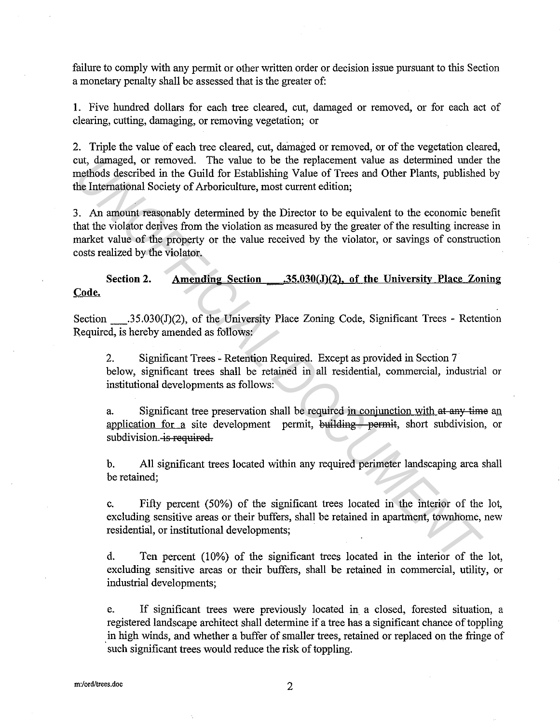failure to comply with any permit or other written order or decision issue pursuant to this Section a monetary penalty shall be assessed that is the greater of:

**1.** Five hundred dollars for each tree cleared, cut, damaged or removed, or for each act of clearing, cutting, damaging, or removing vegetation; or

2. Triple the value of each tree cleared, cut, damaged or removed, or of the vegetation cleared, cut, damaged, or removed. The value to be the replacement value as determined under the methods described in the Guild for Establishing Value of Trees and Other Plants, published by the International Society of Arboriculture, most current edition;

3. An amount reasonably determined by the Director to be equivalent to the economic benefit that the violator derives from the violation as measured by the greater of the resulting increase in market value of the property or the value received by the violator, or savings of construction costs realized by the violator. 2011, damaged, or removed. The value to be the replacement value as determined under<br>neithods described in the Guild for Establishing Value of Trees and Other Plants, published<br>he International Society of Arboriculture, m

Section 2. Amending Section .35.030(J)(2), of the University Place Zoning

Section  $.35.030(J)(2)$ , of the University Place Zoning Code, Significant Trees - Retention Required, is hereby amended as follows:

2. Significant Trees - Retention Required. Except as provided in Section 7 below, significant trees shall be retained in all residential, commercial, industrial or institutional developments as follows:

a. Significant tree preservation shall be required in conjunction with at any time an application for a site development permit, building permit, short subdivision, or subdivision. is required.

b. All significant trees located within any required perimeter landscaping area shall be retained;

c. Fifty percent (50%) of the significant trees located in the interior of the lot, excluding sensitive areas or their buffers, shall be retained in apartment, townhome, new residential, or institutional developments;

d. Ten percent (10%) of the significant trees located in the interior of the lot, excluding sensitive areas or their buffers, shall be retained in commercial, utility, or industrial developments;

e. If significant trees were previously located in a closed, forested situation, a registered landscape architect shall determine if a tree has a significant chance of toppling . in high winds, and whether a buffer of smaller trees, retained or replaced on the fringe of such significant trees would reduce the risk of toppling.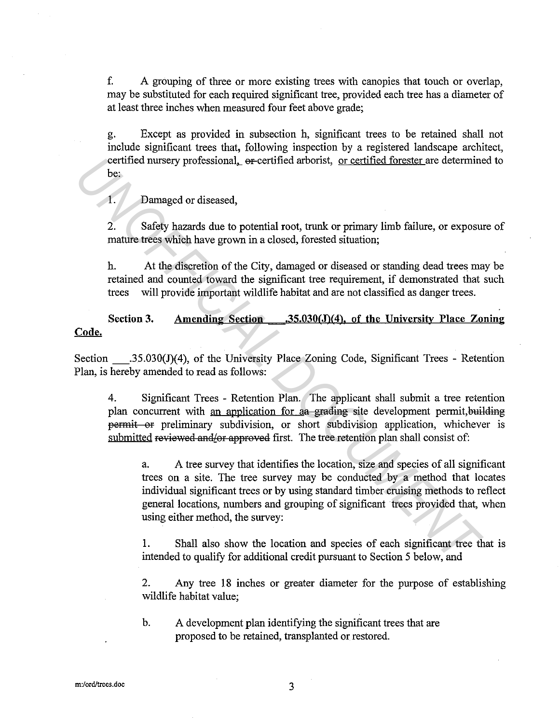f. A grouping of three or more existing trees with canopies that touch or overlap, may be substituted for each required significant tree, provided each tree has a diameter of at least three inches when measured four feet above grade;

g. Except as provided in subsection h, significant trees to be retained shall not include significant trees that, following inspection by a registered landscape architect, certified nursery professional, ex-certified arborist, or certified forester are determined to be:

I. Damaged or diseased,

2. Safety hazards due to potential root, trunk or primary limb failure, or exposure of mature trees which have grown in a closed, forested situation;

h. At the discretion of the City, damaged or diseased or standing dead trees may be retained and counted toward the significant tree requirement, if demonstrated that such trees will provide important wildlife habitat and are not classified as danger trees .

**Section 3. Amending Section . 35.030(J)(4). of the University Place Zoning** 

Section .35.030(J)(4), of the University Place Zoning Code, Significant Trees - Retention Plan, is hereby amended to read as follows:

4. Significant Trees - Retention Plan. The applicant shall submit a tree retention plan concurrent with an application for a grading site development permit, building permit or preliminary subdivision, or short subdivision application, whichever is submitted reviewed and/or approved first. The tree retention plan shall consist of:

a. A tree survey that identifies the location, size and species of all significant trees on a site. The tree survey may be conducted by a method that locates individual significant trees or by using standard timber cruising methods to reflect general locations, numbers and grouping of significant trees provided that, when using either method, the survey: certified nursery professional, or-certified arborist, <u>or certified forester</u> are determine<br>
be:<br>
1. Damaged or discased,<br>
2. Safety hazards due to potential root, trunk or primary limb failure, or exposure<br>
mature trees

I. Shall also show the location and species of each significant tree that is intended to qualify for additional credit pursuant to Section 5 below, and

2. Any tree 18 inches or greater diameter for the purpose of establishing wildlife habitat value;

b. A development plan identifying the significant trees that are proposed to be retained, transplanted or restored.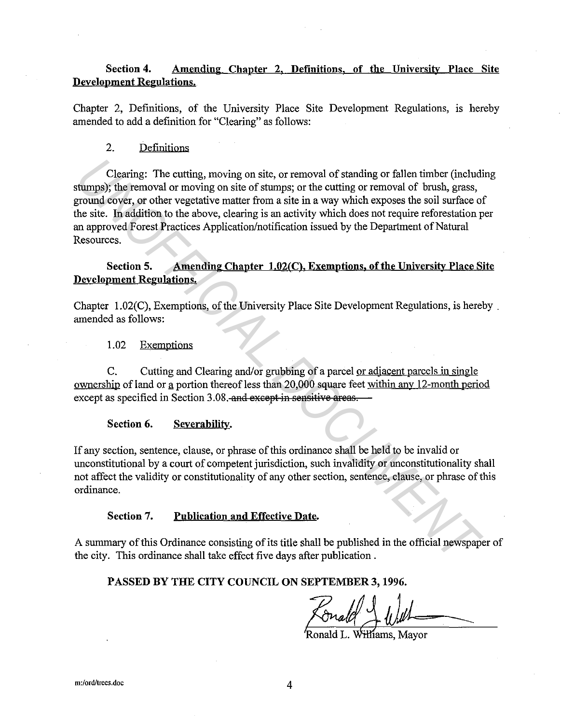# **Section 4. Amending Chapter 2, Definitions, of the University Place Site Development Regulations.**

Chapter 2, Definitions, of the University Place Site Development Regulations, is hereby amended to add a definition for "Clearing" as follows:

## 2. Definitions

Clearing: The cutting, moving on site, or removal of standing or fallen timber (including stumps); the removal or moving on site of stumps; or the cutting or removal of brush, grass, ground cover, or other vegetative matter from a site in a way which exposes the soil surface of the site. In addition to the above, clearing is an activity which does not require reforestation per an approved Forest Practices Application/notification issued by the Department of Natural Resources. Clearing: The cutting, moving on site, or removal of standing or fallen timber (includit<br>thromagn); the removal or moving on site of stumps; or the cutting or removal of brush, grass,<br>promoto cover, or other vegetative mat

## **Section 5. Amending Chapter 1.02(C), Exemptions, of the University Place Site Development Regulations.**

Chapter 1.02(C), Exemptions, of the University Place Site Development Regulations, is hereby. amended as follows:

1.02 Exemptions

C. Cutting and Clearing and/or grubbing of a parcel or adjacent parcels in single ownership of land or a portion thereof less than 20,000 square feet within any 12-month period except as specified in Section 3.08. and except in sensitive areas.

**Section 6. Severability.** 

If any section, sentence, clause, or phrase of this ordinance shall be held to be invalid or unconstitutional by a court of competent jurisdiction, such invalidity or unconstitutionality shall not affect the validity or constitutionality of any other section, sentence, clause, or phrase of this ordinance.

#### **Section 7. Publication and Effective Date.**

A summary of this Ordinance consisting of its title shall be published in the official newspaper of the city. This ordinance shall take effect five days after publication .

## **PASSED BY THE CITY COUNCIL ON SEPTEMBER 3, 1996.**

SEPTEMBER 3, 1996.<br>Cral() Williams, Mayor